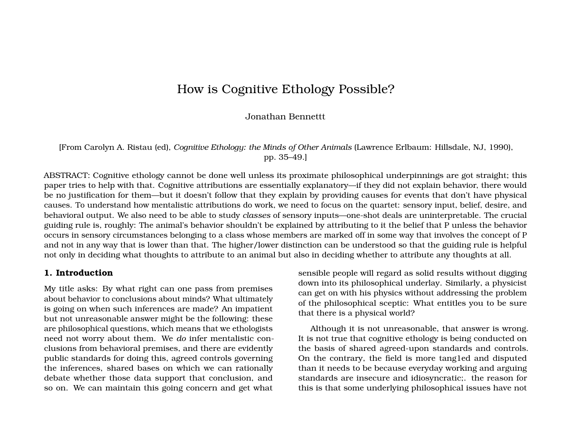# How is Cognitive Ethology Possible?

Jonathan Bennettt

[From Carolyn A. Ristau (ed), *Cognitive Ethology: the Minds of Other Animals* (Lawrence Erlbaum: Hillsdale, NJ, 1990), pp. 35–49.]

ABSTRACT: Cognitive ethology cannot be done well unless its proximate philosophical underpinnings are got straight; this paper tries to help with that. Cognitive attributions are essentially explanatory—if they did not explain behavior, there would be no justification for them—but it doesn't follow that they explain by providing causes for events that don't have physical causes. To understand how mentalistic attributions do work, we need to focus on the quartet: sensory input, belief, desire, and behavioral output. We also need to be able to study *classes* of sensory inputs—one-shot deals are uninterpretable. The crucial guiding rule is, roughly: The animal's behavior shouldn't be explained by attributing to it the belief that P unless the behavior occurs in sensory circumstances belonging to a class whose members are marked off in some way that involves the concept of P and not in any way that is lower than that. The higher/lower distinction can be understood so that the guiding rule is helpful not only in deciding what thoughts to attribute to an animal but also in deciding whether to attribute any thoughts at all.

#### **1. Introduction**

My title asks: By what right can one pass from premises about behavior to conclusions about minds? What ultimately is going on when such inferences are made? An impatient but not unreasonable answer might be the following: these are philosophical questions, which means that we ethologists need not worry about them. We *do* infer mentalistic conclusions from behavioral premises, and there are evidently public standards for doing this, agreed controls governing the inferences, shared bases on which we can rationally debate whether those data support that conclusion, and so on. We can maintain this going concern and get what

sensible people will regard as solid results without digging down into its philosophical underlay. Similarly, a physicist can get on with his physics without addressing the problem of the philosophical sceptic: What entitles you to be sure that there is a physical world?

Although it is not unreasonable, that answer is wrong. It is not true that cognitive ethology is being conducted on the basis of shared agreed-upon standards and controls. On the contrary, the field is more tang1ed and disputed than it needs to be because everyday working and arguing standards are insecure and idiosyncratic;. the reason for this is that some underlying philosophical issues have not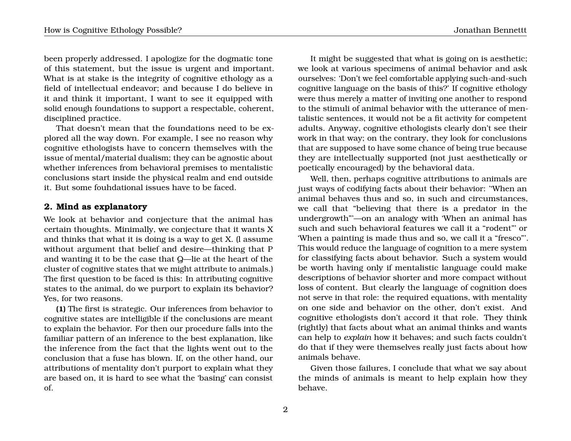been properly addressed. I apologize for the dogmatic tone of this statement, but the issue is urgent and important. What is at stake is the integrity of cognitive ethology as a field of intellectual endeavor; and because I do believe in it and think it important, I want to see it equipped with solid enough foundations to support a respectable, coherent, disciplined practice.

That doesn't mean that the foundations need to be explored all the way down. For example, I see no reason why cognitive ethologists have to concern themselves with the issue of mental/material dualism; they can be agnostic about whether inferences from behavioral premises to mentalistic conclusions start inside the physical realm and end outside it. But some fouhdational issues have to be faced.

#### **2. Mind as explanatory**

We look at behavior and conjecture that the animal has certain thoughts. Minimally, we conjecture that it wants X and thinks that what it is doing is a way to get X. (l assume without argument that belief and desire—thinking that P and wanting it to be the case that Q—lie at the heart of the cluster of cognitive states that we might attribute to animals.) The first question to be faced is this: In attributing cognitive states to the animal, do we purport to explain its behavior? Yes, for two reasons.

**(1)** The first is strategic. Our inferences from behavior to cognitive states are intelligible if the conclusions are meant to explain the behavior. For then our procedure falls into the familiar pattern of an inference to the best explanation, like the inference from the fact that the lights went out to the conclusion that a fuse has blown. If, on the other hand, our attributions of mentality don't purport to explain what they are based on, it is hard to see what the 'basing' can consist of.

It might be suggested that what is going on is aesthetic; we look at various specimens of animal behavior and ask ourselves: 'Don't we feel comfortable applying such-and-such cognitive language on the basis of this?' If cognitive ethology were thus merely a matter of inviting one another to respond to the stimuli of animal behavior with the utterance of mentalistic sentences, it would not be a fit activity for competent adults. Anyway, cognitive ethologists clearly don't see their work in that way; on the contrary, they look for conclusions that are supposed to have some chance of being true because they are intellectually supported (not just aesthetically or poetically encouraged) by the behavioral data.

Well, then, perhaps cognitive attributions to animals are just ways of codifying facts about their behavior: ''When an animal behaves thus and so, in such and circumstances, we call that "believing that there is a predator in the undergrowth"'—on an analogy with 'When an animal has such and such behavioral features we call it a "rodent"' or 'When a painting is made thus and so, we call it a "fresco"'. This would reduce the language of cognition to a mere system for classifying facts about behavior. Such a system would be worth having only if mentalistic language could make descriptions of behavior shorter and more compact without loss of content. But clearly the language of cognition does not serve in that role: the required equations, with mentality on one side and behavior on the other, don't exist. And cognitive ethologists don't accord it that role. They think (rightly) that facts about what an animal thinks and wants can help to *explain* how it behaves; and such facts couldn't do that if they were themselves really just facts about how animals behave.

Given those failures, I conclude that what we say about the minds of animals is meant to help explain how they behave.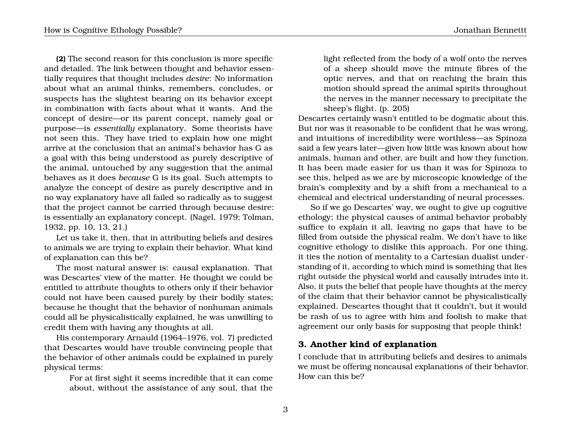**(2)** The second reason for this conclusion is more specific and detailed. The link between thought and behavior essentially requires that thought includes *desire*: No information about what an animal thinks, remembers, concludes, or suspects has the slightest bearing on its behavior except in combination with facts about what it wants. And the concept of desire—or its parent concept, namely goal or purpose—is *essentially* explanatory. Some theorists have not seen this. They have tried to explain how one might arrive at the conclusion that an animal's behavior has G as a goal with this being understood as purely descriptive of the animal, untouched by any suggestion that the animal behaves as it does *because* G is its goal. Such attempts to analyze the concept of desire as purely descriptive and in no way explanatory have all failed so radically as to suggest that the project cannot be carried through because desire: is essentially an explanatory concept. (Nagel, 1979; Tolman, 1932, pp. 10, 13, 21.)

Let us take it, then, that in attributing beliefs and desires to animals we are trying to explain their behavior. What kind of explanation can this be?

The most natural answer is: causal explanation. That was Descartes' view of the matter. He thought we could be entitled to attribute thoughts to others only if their behavior could not have been caused purely by their bodily states; because he thought that the behavior of nonhuman animals could all be physicalistically explained, he was unwilling to credit them with having any thoughts at all.

His contemporary Arnauld (1964–1976, vol. 7) predicted that Descartes would have trouble convincing people that the behavior of other animals could be explained in purely physical terms:

> For at first sight it seems incredible that it can come about, without the assistance of any soul, that the

light reflected from the body of a wolf onto the nerves of a sheep should move the minute fibres of the optic nerves, and that on reaching the brain this motion should spread the animal spirits throughout the nerves in the manner necessary to precipitate the sheep's flight. (p. 205)

Descartes certainly wasn't entitled to be dogmatic about this. But nor was it reasonable to be confident that he was wrong, and intuitions of incredibility were worthless—as Spinoza said a few years later—given how little was known about how animals, human and other, are built and how they function. It has been made easier for us than it was for Spinoza to see this, helped as we are by microscopic knowledge of the brain's complexity and by a shift from a mechanical to a chemical and electrical understanding of neural processes.

So if we go Descartes' way, we ought to give up cognitive ethology; the physical causes of animal behavior probably suffice to explain it all, leaving no gaps that have to be filled from outside the physical realm. We don't have to like cognitive ethology to dislike this approach. For one thing, it ties the notion of mentality to a Cartesian dualist understanding of it, according to which mind is something that lies right outside the physical world and causally intrudes into it. Also, it puts the belief that people have thoughts at the mercy of the claim that their behavior cannot be physicalistically explained. Descartes thought that it couldn't, but it would be rash of us to agree with him and foolish to make that agreement our only basis for supposing that people think!

#### **3. Another kind of explanation**

I conclude that in attributing beliefs and desires to animals we must be offering noncausal explanations of their behavior. How can this be?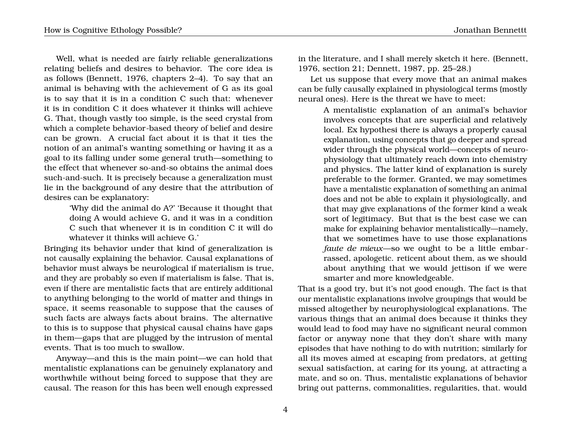Well, what is needed are fairly reliable generalizations relating beliefs and desires to behavior. The core idea is as follows (Bennett, 1976, chapters 2–4). To say that an animal is behaving with the achievement of G as its goal is to say that it is in a condition C such that: whenever it is in condition C it does whatever it thinks will achieve G. That, though vastly too simple, is the seed crystal from which a complete behavior-based theory of belief and desire can be grown. A crucial fact about it is that it ties the notion of an animal's wanting something or having it as a goal to its falling under some general truth—something to the effect that whenever so-and-so obtains the animal does such-and-such. It is precisely because a generalization must lie in the background of any desire that the attribution of desires can be explanatory:

> 'Why did the animal do A?' 'Because it thought that doing A would achieve G, and it was in a condition C such that whenever it is in condition C it will do whatever it thinks will achieve G.'

Bringing its behavior under that kind of generalization is not causally explaining the behavior. Causal explanations of behavior must always be neurological if materialism is true, and they are probably so even if materialism is false. That is, even if there are mentalistic facts that are entirely additional to anything belonging to the world of matter and things in space, it seems reasonable to suppose that the causes of such facts are always facts about brains. The alternative to this is to suppose that physical causal chains have gaps in them—gaps that are plugged by the intrusion of mental events. That is too much to swallow.

Anyway—and this is the main point—we can hold that mentalistic explanations can be genuinely explanatory and worthwhile without being forced to suppose that they are causal. The reason for this has been well enough expressed

in the literature, and I shall merely sketch it here. (Bennett, 1976, section 21; Dennett, 1987, pp. 25–28.)

Let us suppose that every move that an animal makes can be fully causally explained in physiological terms (mostly neural ones). Here is the threat we have to meet:

A mentalistic explanation of an animal's behavior involves concepts that are superficial and relatively local. Ex hypothesi there is always a properly causal explanation, using concepts that go deeper and spread wider through the physical world—concepts of neurophysiology that ultimately reach down into chemistry and physics. The latter kind of explanation is surely preferable to the former. Granted, we may sometimes have a mentalistic explanation of something an animal does and not be able to explain it physiologically, and that may give explanations of the former kind a weak sort of legitimacy. But that is the best case we can make for explaining behavior mentalistically—namely, that we sometimes have to use those explanations *faute de mieux*—so we ought to be a little embarrassed, apologetic. reticent about them, as we should about anything that we would jettison if we were smarter and more knowledgeable.

That is a good try, but it's not good enough. The fact is that our mentalistic explanations involve groupings that would be missed altogether by neurophysiological explanations. The various things that an animal does because it thinks they would lead to food may have no significant neural common factor or anyway none that they don't share with many episodes that have nothing to do with nutrition; similarly for all its moves aimed at escaping from predators, at getting sexual satisfaction, at caring for its young, at attracting a mate, and so on. Thus, mentalistic explanations of behavior bring out patterns, commonalities, regularities, that. would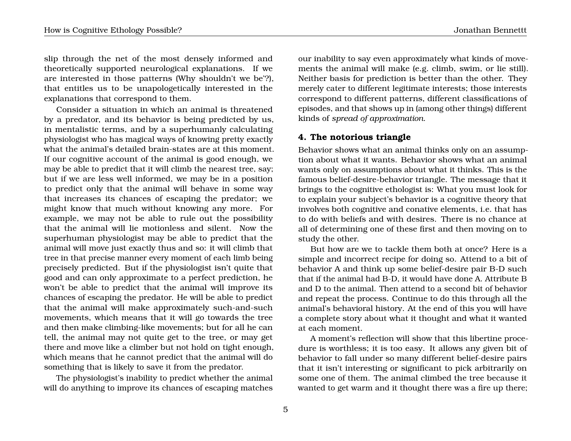slip through the net of the most densely informed and theoretically supported neurological explanations. If we are interested in those patterns (Why shouldn't we be'?), that entitles us to be unapologetically interested in the explanations that correspond to them.

Consider a situation in which an animal is threatened by a predator, and its behavior is being predicted by us, in mentalistic terms, and by a superhumanly calculating physiologist who has magical ways of knowing pretty exactly what the animal's detailed brain-states are at this moment. If our cognitive account of the animal is good enough, we may be able to predict that it will climb the nearest tree, say; but if we are less well informed, we may be in a position to predict only that the animal will behave in some way that increases its chances of escaping the predator; we might know that much without knowing any more. For example, we may not be able to rule out the possibility that the animal will lie motionless and silent. Now the superhuman physiologist may be able to predict that the animal will move just exactly thus and so: it will climb that tree in that precise manner every moment of each limb being precisely predicted. But if the physiologist isn't quite that good and can only approximate to a perfect prediction, he won't be able to predict that the animal will improve its chances of escaping the predator. He will be able to predict that the animal will make approximately such-and-such movements, which means that it will go towards the tree and then make climbing-like movements; but for all he can tell, the animal may not quite get to the tree, or may get there and move like a climber but not hold on tight enough, which means that he cannot predict that the animal will do something that is likely to save it from the predator.

The physiologist's inability to predict whether the animal will do anything to improve its chances of escaping matches our inability to say even approximately what kinds of movements the animal will make (e.g. climb, swim, or lie still). Neither basis for prediction is better than the other. They merely cater to different legitimate interests; those interests correspond to different patterns, different classifications of episodes, and that shows up in (among other things) different kinds of *spread of approximation*.

# **4. The notorious triangle**

Behavior shows what an animal thinks only on an assumption about what it wants. Behavior shows what an animal wants only on assumptions about what it thinks. This is the famous belief-desire-behavior triangle. The message that it brings to the cognitive ethologist is: What you must look for to explain your subject's behavior is a cognitive theory that involves both cognitive and conative elements, i.e. that has to do with beliefs and with desires. There is no chance at all of determining one of these first and then moving on to study the other.

But how are we to tackle them both at once? Here is a simple and incorrect recipe for doing so. Attend to a bit of behavior A and think up some belief-desire pair B-D such that if the animal had B-D, it would have done A. Attribute B and D to the animal. Then attend to a second bit of behavior and repeat the process. Continue to do this through all the animal's behavioral history. At the end of this you will have a complete story about what it thought and what it wanted at each moment.

A moment's reflection will show that this libertine procedure is worthless; it is too easy. It allows any given bit of behavior to fall under so many different belief-desire pairs that it isn't interesting or significant to pick arbitrarily on some one of them. The animal climbed the tree because it wanted to get warm and it thought there was a fire up there;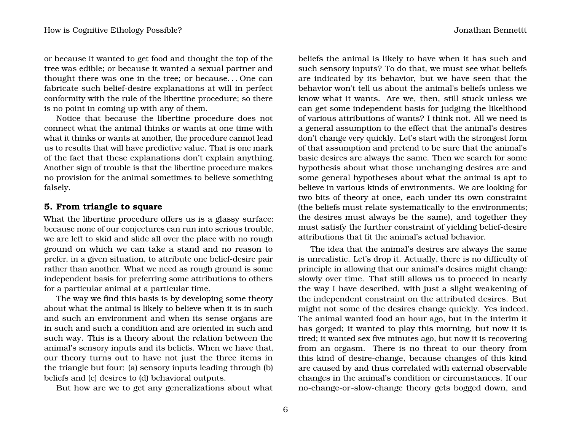or because it wanted to get food and thought the top of the tree was edible; or because it wanted a sexual partner and thought there was one in the tree; or because. . . One can fabricate such belief-desire explanations at will in perfect conformity with the rule of the libertine procedure; so there is no point in coming up with any of them.

Notice that because the libertine procedure does not connect what the animal thinks or wants at one time with what it thinks or wants at another, the procedure cannot lead us to results that will have predictive value. That is one mark of the fact that these explanations don't explain anything. Another sign of trouble is that the libertine procedure makes no provision for the animal sometimes to believe something falsely.

#### **5. From triangle to square**

What the libertine procedure offers us is a glassy surface: because none of our conjectures can run into serious trouble, we are left to skid and slide all over the place with no rough ground on which we can take a stand and no reason to prefer, in a given situation, to attribute one belief-desire pair rather than another. What we need as rough ground is some independent basis for preferring some attributions to others for a particular animal at a particular time.

The way we find this basis is by developing some theory about what the animal is likely to believe when it is in such and such an environment and when its sense organs are in such and such a condition and are oriented in such and such way. This is a theory about the relation between the animal's sensory inputs and its beliefs. When we have that, our theory turns out to have not just the three items in the triangle but four: (a) sensory inputs leading through (b) beliefs and (c) desires to (d) behavioral outputs.

But how are we to get any generalizations about what

beliefs the animal is likely to have when it has such and such sensory inputs? To do that, we must see what beliefs are indicated by its behavior, but we have seen that the behavior won't tell us about the animal's beliefs unless we know what it wants. Are we, then, still stuck unless we can get some independent basis for judging the likelihood of various attributions of wants? I think not. All we need is a general assumption to the effect that the animal's desires don't change very quickly. Let's start with the strongest form of that assumption and pretend to be sure that the animal's basic desires are always the same. Then we search for some hypothesis about what those unchanging desires are and some general hypotheses about what the animal is apt to believe in various kinds of environments. We are looking for two bits of theory at once, each under its own constraint (the beliefs must relate systematically to the environments; the desires must always be the same), and together they must satisfy the further constraint of yielding belief-desire attributions that fit the animal's actual behavior.

The idea that the animal's desires are always the same is unrealistic. Let's drop it. Actually, there is no difficulty of principle in allowing that our animal's desires might change slowly over time. That still allows us to proceed in nearly the way I have described, with just a slight weakening of the independent constraint on the attributed desires. But might not some of the desires change quickly. Yes indeed. The animal wanted food an hour ago, but in the interim it has gorged; it wanted to play this morning, but now it is tired; it wanted sex five minutes ago, but now it is recovering from an orgasm. There is no threat to our theory from this kind of desire-change, because changes of this kind are caused by and thus correlated with external observable changes in the animal's condition or circumstances. If our no-change-or-slow-change theory gets bogged down, and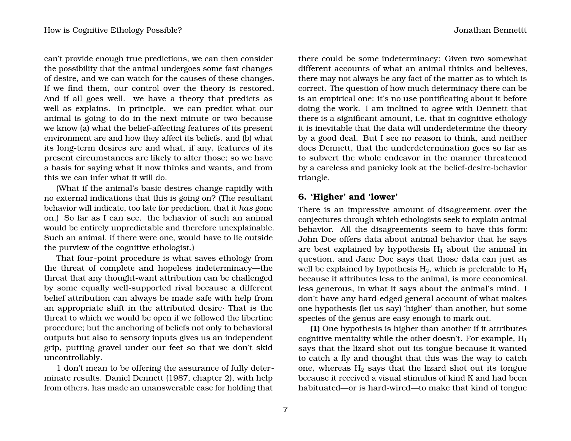can't provide enough true predictions, we can then consider the possibility that the animal undergoes some fast changes of desire, and we can watch for the causes of these changes. If we find them, our control over the theory is restored. And if all goes well. we have a theory that predicts as well as explains. In principle. we can predict what our animal is going to do in the next minute or two because we know (a) what the belief-affecting features of its present environment are and how they affect its beliefs. and (b) what its long-term desires are and what, if any, features of its present circumstances are likely to alter those; so we have a basis for saying what it now thinks and wants, and from this we can infer what it will do.

(What if the animal's basic desires change rapidly with no external indications that this is going on? (The resultant behavior will indicate, too late for prediction, that it *has* gone on.) So far as I can see. the behavior of such an animal would be entirely unpredictable and therefore unexplainable. Such an animal, if there were one, would have to lie outside the purview of the cognitive ethologist.)

That four-point procedure is what saves ethology from the threat of complete and hopeless indeterminacy—the threat that any thought-want attribution can be challenged by some equally well-supported rival because a different belief attribution can always be made safe with help from an appropriate shift in the attributed desire· That is the threat to which we would be open if we followed the libertine procedure; but the anchoring of beliefs not only to behavioral outputs but also to sensory inputs gives us an independent grip, putting gravel under our feet so that we don't skid uncontrollably.

1 don't mean to be offering the assurance of fully determinate results. Daniel Dennett (1987, chapter 2), with help from others, has made an unanswerable case for holding that

there could be some indeterminacy: Given two somewhat different accounts of what an animal thinks and believes, there may not always be any fact of the matter as to which is correct. The question of how much determinacy there can be is an empirical one: it's no use pontificating about it before doing the work. I am inclined to agree with Dennett that there is a significant amount, i.e. that in cognitive ethology it is inevitable that the data will underdetermine the theory by a good deal. But I see no reason to think, and neither does Dennett, that the underdetermination goes so far as to subvert the whole endeavor in the manner threatened by a careless and panicky look at the belief-desire-behavior triangle.

# **6. 'Higher' and 'lower'**

There is an impressive amount of disagreement over the conjectures through which ethologists seek to explain animal behavior. All the disagreements seem to have this form: John Doe offers data about animal behavior that he says are best explained by hypothesis  $H_1$  about the animal in question, and Jane Doe says that those data can just as well be explained by hypothesis  $H_2$ , which is preferable to  $H_1$ because it attributes less to the animal, is more economical, less generous, in what it says about the animal's mind. I don't have any hard-edged general account of what makes one hypothesis (let us say) 'higher' than another, but some species of the genus are easy enough to mark out.

**(1)** One hypothesis is higher than another if it attributes cognitive mentality while the other doesn't. For example,  $H_1$ says that the lizard shot out its tongue because it wanted to catch a fly and thought that this was the way to catch one, whereas  $H_2$  says that the lizard shot out its tongue because it received a visual stimulus of kind K and had been habituated—or is hard-wired—to make that kind of tongue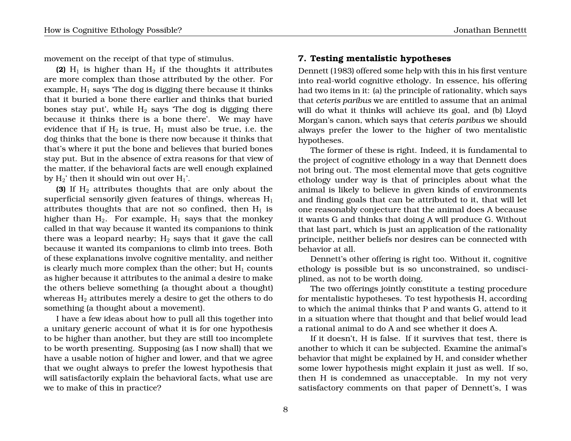movement on the receipt of that type of stimulus.

**(2)**  $H_1$  is higher than  $H_2$  if the thoughts it attributes are more complex than those attributed by the other. For example,  $H_1$  says 'The dog is digging there because it thinks that it buried a bone there earlier and thinks that buried bones stay put', while  $H_2$  says 'The dog is digging there because it thinks there is a bone there'. We may have evidence that if  $H_2$  is true,  $H_1$  must also be true, i.e. the dog thinks that the bone is there now because it thinks that that's where it put the bone and believes that buried bones stay put. But in the absence of extra reasons for that view of the matter, if the behavioral facts are well enough explained by  $H_2$ ' then it should win out over  $H_1$ '.

**(3)** If  $H_2$  attributes thoughts that are only about the superficial sensorily given features of things, whereas  $H_1$ attributes thoughts that are not so confined, then  $H_1$  is higher than  $H_2$ . For example,  $H_1$  says that the monkey called in that way because it wanted its companions to think there was a leopard nearby;  $H_2$  says that it gave the call because it wanted its companions to climb into trees. Both of these explanations involve cognitive mentality, and neither is clearly much more complex than the other; but  $H_1$  counts as higher because it attributes to the animal a desire to make the others believe something (a thought about a thought) whereas  $H_2$  attributes merely a desire to get the others to do something (a thought about a movement).

I have a few ideas about how to pull all this together into a unitary generic account of what it is for one hypothesis to be higher than another, but they are still too incomplete to be worth presenting. Supposing (as I now shall) that we have a usable notion of higher and lower, and that we agree that we ought always to prefer the lowest hypothesis that will satisfactorily explain the behavioral facts, what use are we to make of this in practice?

### **7. Testing mentalistic hypotheses**

Dennett (1983) offered some help with this in his first venture into real-world cognitive ethology. In essence, his offering had two items in it: (a) the principle of rationality, which says that *ceteris paribus* we are entitled to assume that an animal will do what it thinks will achieve its goal, and (b) Lloyd Morgan's canon, which says that *ceteris paribus* we should always prefer the lower to the higher of two mentalistic hypotheses.

The former of these is right. Indeed, it is fundamental to the project of cognitive ethology in a way that Dennett does not bring out. The most elemental move that gets cognitive ethology under way is that of principles about what the animal is likely to believe in given kinds of environments and finding goals that can be attributed to it, that will let one reasonably conjecture that the animal does A because it wants G and thinks that doing A will produce G. Without that last part, which is just an application of the rationality principle, neither beliefs nor desires can be connected with behavior at all.

Dennett's other offering is right too. Without it, cognitive ethology is possible but is so unconstrained, so undisciplined, as not to be worth doing.

The two offerings jointly constitute a testing procedure for mentalistic hypotheses. To test hypothesis H, according to which the animal thinks that P and wants G, attend to it in a situation where that thought and that belief would lead a rational animal to do A and see whether it does A.

If it doesn't, H is false. If it survives that test, there is another to which it can be subjected. Examine the animal's behavior that might be explained by H, and consider whether some lower hypothesis might explain it just as well. If so, then H is condemned as unacceptable. In my not very satisfactory comments on that paper of Dennett's, I was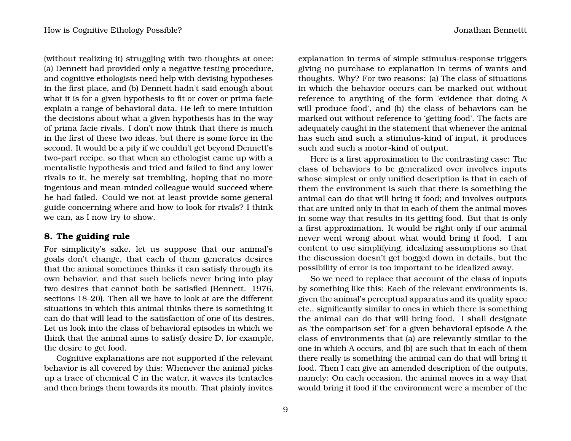(without realizing it) struggling with two thoughts at once: (a) Dennett had provided only a negative testing procedure, and cognitive ethologists need help with devising hypotheses in the first place, and (b) Dennett hadn't said enough about what it is for a given hypothesis to fit or cover or prima facie explain a range of behavioral data. He left to mere intuition the decisions about what a given hypothesis has in the way of prima facie rivals. I don't now think that there is much in the first of these two ideas, but there is some force in the second. It would be a pity if we couldn't get beyond Dennett's two-part recipe, so that when an ethologist came up with a mentalistic hypothesis and tried and failed to find any lower rivals to it, he merely sat trembling, hoping that no more ingenious and mean-minded colleague would succeed where he had failed. Could we not at least provide some general guide concerning where and how to look for rivals? I think we can, as I now try to show.

# **8. The guiding rule**

For simplicity's sake, let us suppose that our animal's goals don't change, that each of them generates desires that the animal sometimes thinks it can satisfy through its own behavior, and that such beliefs never bring into play two desires that cannot both be satisfied (Bennett. 1976, sections 18–20). Then all we have to look at are the different situations in which this animal thinks there is something it can do that will lead to the satisfaction of one of its desires. Let us look into the class of behavioral episodes in which we think that the animal aims to satisfy desire D, for example, the desire to get food.

Cognitive explanations are not supported if the relevant behavior is all covered by this: Whenever the animal picks up a trace of chemical C in the water, it waves its tentacles and then brings them towards its mouth. That plainly invites

explanation in terms of simple stimulus-response triggers giving no purchase to explanation in terms of wants and thoughts. Why? For two reasons: (a) The class of situations in which the behavior occurs can be marked out without reference to anything of the form 'evidence that doing A will produce food', and (b) the class of behaviors can be marked out without reference to 'getting food'. The facts are adequately caught in the statement that whenever the animal has such and such a stimulus-kind of input, it produces such and such a motor-kind of output.

Here is a first approximation to the contrasting case: The class of behaviors to be generalized over involves inputs whose simplest or only unified description is that in each of them the environment is such that there is something the animal can do that will bring it food; and involves outputs that are united only in that in each of them the animal moves in some way that results in its getting food. But that is only a first approximation. It would be right only if our animal never went wrong about what would bring it food. I am content to use simplifying, idealizing assumptions so that the discussion doesn't get bogged down in details, but the possibility of error is too important to be idealized away.

So we need to replace that account of the class of inputs by something like this: Each of the relevant environments is, given the animal's perceptual apparatus and its quality space etc., significantly similar to ones in which there is something the animal can do that will bring food. I shall designate as 'the comparison set' for a given behavioral episode A the class of environments that (a) are relevantly similar to the one in which A occurs, and (b) are such that in each of them there really is something the animal can do that will bring it food. Then I can give an amended description of the outputs, namely: On each occasion, the animal moves in a way that would bring it food if the environment were a member of the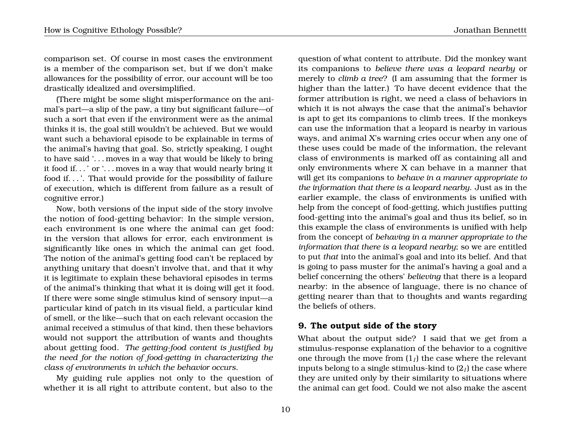comparison set. Of course in most cases the environment is a member of the comparison set, but if we don't make allowances for the possibility of error, our account will be too drastically idealized and oversimplified.

(There might be some slight misperformance on the animal's part—a slip of the paw, a tiny but significant failure—of such a sort that even if the environment were as the animal thinks it is, the goal still wouldn't be achieved. But we would want such a behavioral episode to be explainable in terms of the animal's having that goal. So, strictly speaking, I ought to have said '. . . moves in a way that would be likely to bring it food if. . . ' or '. . . moves in a way that would nearly bring it food if. . . '. That would provide for the possibility of failure of execution, which is different from failure as a result of cognitive error.)

Now, both versions of the input side of the story involve the notion of food-getting behavior: In the simple version, each environment is one where the animal can get food: in the version that allows for error, each environment is significantly like ones in which the animal can get food. The notion of the animal's getting food can't be replaced by anything unitary that doesn't involve that, and that it why it is legitimate to explain these behavioral episodes in terms of the animal's thinking that what it is doing will get it food. If there were some single stimulus kind of sensory input—a particular kind of patch in its visual field, a particular kind of smell, or the like—such that on each relevant occasion the animal received a stimulus of that kind, then these behaviors would not support the attribution of wants and thoughts about getting food. *The getting-food content is justified by the need for the notion of food-getting in characterizing the class of environments in which the behavior occurs.*

My guiding rule applies not only to the question of whether it is all right to attribute content, but also to the

question of what content to attribute. Did the monkey want its companions to *believe there was a leopard nearby* or merely to *climb a tree*? (I am assuming that the former is higher than the latter.) To have decent evidence that the former attribution is right, we need a class of behaviors in which it is not always the case that the animal's behavior is apt to get its companions to climb trees. If the monkeys can use the information that a leopard is nearby in various ways, and animal X's warning cries occur when any one of these uses could be made of the information, the relevant class of environments is marked off as containing all and only environments where X can behave in a manner that will get its companions to *behave in a manner appropriate to the information that there is a leopard nearby*. Just as in the earlier example, the class of environments is unified with help from the concept of food-getting, which justifies putting food-getting into the animal's goal and thus its belief, so in this example the class of environments is unified with help from the concept of *behaving in a manner appropriate to the information that there is a leopard nearby*; so we are entitled to put *that* into the animal's goal and into its belief. And that is going to pass muster for the animal's having a goal and a belief concerning the others' *believing* that there is a leopard nearby: in the absence of language, there is no chance of getting nearer than that to thoughts and wants regarding the beliefs of others.

# **9. The output side of the story**

What about the output side? I said that we get from a stimulus-response explanation of the behavior to a cognitive one through the move from  $(1<sub>I</sub>)$  the case where the relevant inputs belong to a single stimulus-kind to  $(2<sub>I</sub>)$  the case where they are united only by their similarity to situations where the animal can get food. Could we not also make the ascent